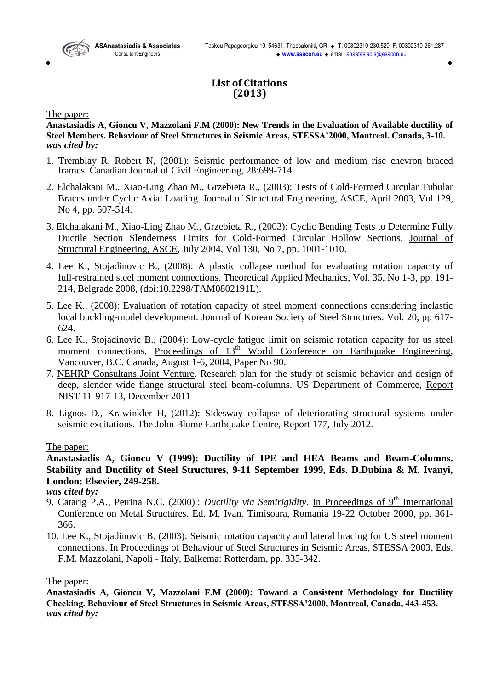# **List of Citations (2013)**

The paper:

**Anastasiadis A, Gioncu V, Mazzolani F.M (2000): New Trends in the Evaluation of Available ductility of Steel Members. Behaviour of Steel Structures in Seismic Areas, STESSA'2000, Montreal. Canada, 3-10.** *was cited by:*

- 1. Tremblay R, Robert N, (2001): Seismic performance of low and medium rise chevron braced frames. Canadian Journal of Civil Engineering, 28:699-714.
- 2. Elchalakani M., Xiao-Ling Zhao M., Grzebieta R., (2003): Tests of Cold-Formed Circular Tubular Braces under Cyclic Axial Loading. Journal of Structural Engineering, ASCE, April 2003, Vol 129, No 4, pp. 507-514.
- 3. Elchalakani M., Xiao-Ling Zhao M., Grzebieta R., (2003): Cyclic Bending Tests to Determine Fully Ductile Section Slenderness Limits for Cold-Formed Circular Hollow Sections. Journal of Structural Engineering, ASCE, July 2004, Vol 130, No 7, pp. 1001-1010.
- 4. Lee K., Stojadinovic B., (2008): A plastic collapse method for evaluating rotation capacity of full-restrained steel moment connections. Theoretical Applied Mechanics, Vol. 35, No 1-3, pp. 191- 214, Belgrade 2008, (doi:10.2298/TAM0802191L).
- 5. Lee K., (2008): Evaluation of rotation capacity of steel moment connections considering inelastic local buckling-model development. Journal of Korean Society of Steel Structures. Vol. 20, pp 617- 624.
- 6. Lee K., Stojadinovic B., (2004): Low-cycle fatigue limit on seismic rotation capacity for us steel moment connections. Proceedings of  $13<sup>th</sup>$  World Conference on Earthquake Engineering, Vancouver, B.C. Canada, August 1-6, 2004, Paper No 90.
- 7. NEHRP Consultans Joint Venture. Research plan for the study of seismic behavior and design of deep, slender wide flange structural steel beam-columns. US Department of Commerce, Report NIST 11-917-13, December 2011
- 8. Lignos D., Krawinkler H, (2012): Sidesway collapse of deteriorating structural systems under seismic excitations. The John Blume Earthquake Centre, Report 177, July 2012.

# The paper:

**Anastasiadis A, Gioncu V (1999): Ductility of IPE and HEA Beams and Beam-Columns. Stability and Ductility of Steel Structures, 9-11 September 1999, Eds. D.Dubina & M. Ivanyi, London: Elsevier, 249-258.**

*was cited by:*

- 9. Catarig P.A., Petrina N.C. (2000) : *Ductility via Semirigidity*. In Proceedings of 9<sup>th</sup> International Conference on Metal Structures. Ed. M. Ivan. Timisoara, Romania 19-22 October 2000, pp. 361- 366.
- 10. Lee K., Stojadinovic B. (2003): Seismic rotation capacity and lateral bracing for US steel moment connections. In Proceedings of Behaviour of Steel Structures in Seismic Areas, STESSA 2003, Eds. F.M. Mazzolani, Napoli - Italy, Balkema: Rotterdam, pp. 335-342.

# The paper:

**Anastasiadis A, Gioncu V, Mazzolani F.M (2000): Toward a Consistent Methodology for Ductility Checking. Behaviour of Steel Structures in Seismic Areas, STESSA'2000, Montreal, Canada, 443-453.** *was cited by:*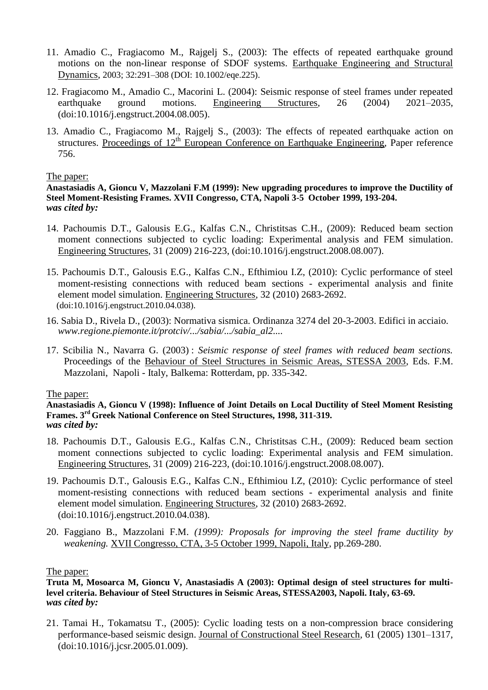- 11. Amadio C., Fragiacomo M., Rajgelj S., (2003): The effects of repeated earthquake ground motions on the non-linear response of SDOF systems. Earthquake Engineering and Structural Dynamics, 2003; 32:291–308 (DOI: 10.1002/eqe.225).
- 12. Fragiacomo M., Amadio C., Macorini L. (2004): Seismic response of steel frames under repeated earthquake ground motions. Engineering Structures, 26 (2004) 2021–2035, (doi:10.1016/j.engstruct.2004.08.005).
- 13. Amadio C., Fragiacomo M., Rajgelj S., (2003): The effects of repeated earthquake action on structures. Proceedings of 12<sup>th</sup> European Conference on Earthquake Engineering, Paper reference 756.

### The paper:

**Anastasiadis A, Gioncu V, Mazzolani F.M (1999): New upgrading procedures to improve the Ductility of Steel Moment-Resisting Frames. XVII Congresso, CTA, Napoli 3-5 October 1999, 193-204.** *was cited by:*

- 14. Pachoumis D.T., Galousis E.G., Kalfas C.N., Christitsas C.H., (2009): Reduced beam section moment connections subjected to cyclic loading: Experimental analysis and FEM simulation. Engineering Structures, 31 (2009) 216-223, (doi:10.1016/j.engstruct.2008.08.007).
- 15. Pachoumis D.T., Galousis E.G., Kalfas C.N., Efthimiou I.Z, (2010): Cyclic performance of steel moment-resisting connections with reduced beam sections - experimental analysis and finite element model simulation. Engineering Structures, 32 (2010) 2683-2692. (doi:10.1016/j.engstruct.2010.04.038).
- 16. Sabia D., Rivela D., (2003): Normativa sismica. Ordinanza 3274 del 20-3-2003. Edifici in acciaio. *www.regione.piemonte.it/protciv/.../sabia/.../sabia\_al2....*
- 17. Scibilia N., Navarra G. (2003) : *Seismic response of steel frames with reduced beam sections.* Proceedings of the Behaviour of Steel Structures in Seismic Areas, STESSA 2003, Eds. F.M. Mazzolani, Napoli - Italy, Balkema: Rotterdam, pp. 335-342.

# The paper:

#### **Anastasiadis A, Gioncu V (1998): Influence of Joint Details on Local Ductility of Steel Moment Resisting Frames. 3rd Greek National Conference on Steel Structures, 1998, 311-319.** *was cited by:*

- 18. Pachoumis D.T., Galousis E.G., Kalfas C.N., Christitsas C.H., (2009): Reduced beam section moment connections subjected to cyclic loading: Experimental analysis and FEM simulation. Engineering Structures, 31 (2009) 216-223, (doi:10.1016/j.engstruct.2008.08.007).
- 19. Pachoumis D.T., Galousis E.G., Kalfas C.N., Efthimiou I.Z, (2010): Cyclic performance of steel moment-resisting connections with reduced beam sections - experimental analysis and finite element model simulation. Engineering Structures, 32 (2010) 2683-2692. (doi:10.1016/j.engstruct.2010.04.038).
- 20. Faggiano B., Mazzolani F.M. *(1999): Proposals for improving the steel frame ductility by weakening.* XVII Congresso, CTA, 3-5 October 1999, Napoli, Italy, pp.269-280.

The paper:

21. Tamai H., Tokamatsu T., (2005): Cyclic loading tests on a non-compression brace considering performance-based seismic design. Journal of Constructional Steel Research, 61 (2005) 1301–1317, (doi:10.1016/j.jcsr.2005.01.009).

**Truta M, Mosoarca M, Gioncu V, Anastasiadis A (2003): Optimal design of steel structures for multilevel criteria. Behaviour of Steel Structures in Seismic Areas, STESSA2003, Napoli. Italy, 63-69.** *was cited by:*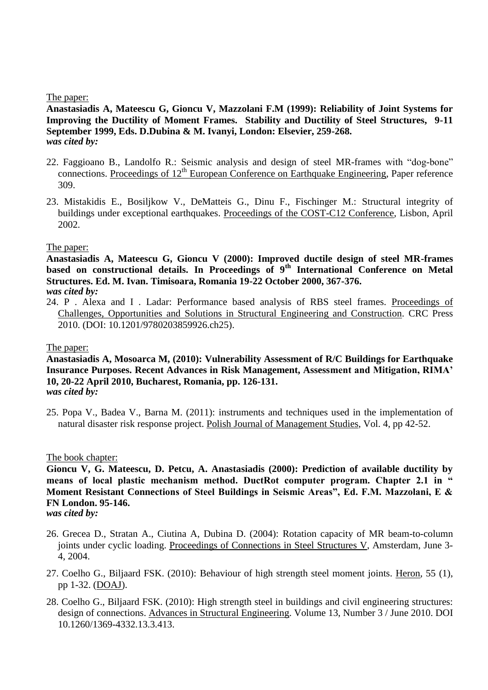The paper:

**Anastasiadis A, Mateescu G, Gioncu V, Mazzolani F.M (1999): Reliability of Joint Systems for Improving the Ductility of Moment Frames. Stability and Ductility of Steel Structures, 9-11 September 1999, Eds. D.Dubina & M. Ivanyi, London: Elsevier, 259-268.** *was cited by:*

- 22. Faggioano B., Landolfo R.: Seismic analysis and design of steel MR-frames with "dog-bone" connections. Proceedings of 12<sup>th</sup> European Conference on Earthquake Engineering, Paper reference 309.
- 23. Mistakidis E., Bosiljkow V., DeMatteis G., Dinu F., Fischinger M.: Structural integrity of buildings under exceptional earthquakes. Proceedings of the COST-C12 Conference, Lisbon, April 2002.

### The paper:

**Anastasiadis A, Mateescu G, Gioncu V (2000): Improved ductile design of steel MR-frames based on constructional details. In Proceedings of 9th International Conference on Metal Structures. Ed. M. Ivan. Timisoara, Romania 19-22 October 2000, 367-376.** *was cited by:*

24. P . Alexa and I . Ladar: Performance based analysis of RBS steel frames. Proceedings of Challenges, Opportunities and Solutions in Structural Engineering and Construction. CRC Press 2010. (DOI: 10.1201/9780203859926.ch25).

### The paper:

### **Anastasiadis A, Mosoarca M, (2010): Vulnerability Assessment of R/C Buildings for Earthquake Insurance Purposes. Recent Advances in Risk Management, Assessment and Mitigation, RIMA' 10, 20-22 April 2010, Bucharest, Romania, pp. 126-131.** *was cited by:*

25. Popa V., Badea V., Barna M. (2011): instruments and techniques used in the implementation of natural disaster risk response project. Polish Journal of Management Studies, Vol. 4, pp 42-52.

#### The book chapter:

**Gioncu V, G. Mateescu, D. Petcu, A. Anastasiadis (2000): Prediction of available ductility by means of local plastic mechanism method. DuctRot computer program. Chapter 2.1 in " Moment Resistant Connections of Steel Buildings in Seismic Areas", Ed. F.M. Mazzolani, E & FN London. 95-146.**

- *was cited by:*
- 26. Grecea D., Stratan A., Ciutina A, Dubina D. (2004): Rotation capacity of MR beam-to-column joints under cyclic loading. Proceedings of Connections in Steel Structures V, Amsterdam, June 3- 4, 2004.
- 27. Coelho G., Biljaard FSK. (2010): Behaviour of high strength steel moment joints. Heron, 55 (1), pp 1-32. [\(DOAJ\)](http://www.doaj.org/doaj).
- 28. Coelho G., Biljaard FSK. (2010): High strength steel in buildings and civil engineering structures: design of connections. Advances in Structural Engineering. [Volume 13, Number 3 / June 2010.](http://multi-science.metapress.com/content/jmwk3355254m/?p=642b33ad996e4d7aae01d28d82526dcd&pi=0) DOI 10.1260/1369-4332.13.3.413.